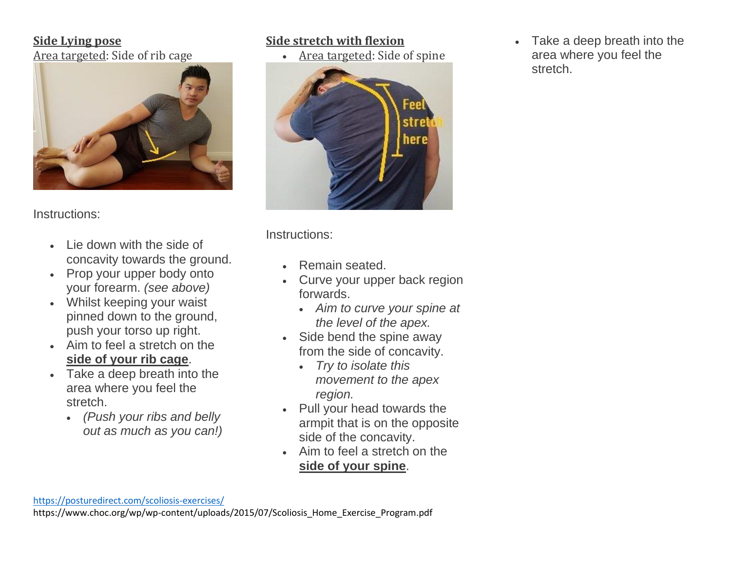## **Side Lying pose** Area targeted: Side of rib cage



Instructions:

- Lie down with the side of concavity towards the ground.
- Prop your upper body onto your forearm. *(see above)*
- Whilst keeping your waist pinned down to the ground, push your torso up right.
- Aim to feel a stretch on the **side of your rib cage**.
- Take a deep breath into the area where you feel the stretch.
	- *(Push your ribs and belly out as much as you can!)*

# **Side stretch with flexion**

• Area targeted: Side of spine



Instructions:

- Remain seated.
- Curve your upper back region forwards.
	- *Aim to curve your spine at the level of the apex.*
- Side bend the spine away from the side of concavity.
	- *Try to isolate this movement to the apex region.*
- Pull your head towards the armpit that is on the opposite side of the concavity.
- Aim to feel a stretch on the **side of your spine**.

<https://posturedirect.com/scoliosis-exercises/>

https://www.choc.org/wp/wp-content/uploads/2015/07/Scoliosis\_Home\_Exercise\_Program.pdf

• Take a deep breath into the area where you feel the stretch.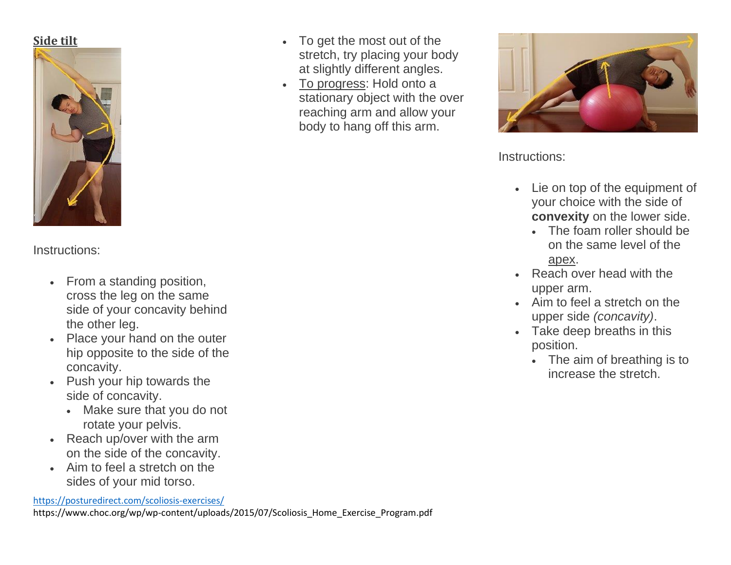# **Side tilt**



Instructions:

- From a standing position, cross the leg on the same side of your concavity behind the other leg.
- Place your hand on the outer hip opposite to the side of the concavity.
- Push your hip towards the side of concavity.
	- Make sure that you do not rotate your pelvis.
- Reach up/over with the arm on the side of the concavity.
- Aim to feel a stretch on the sides of your mid torso.

<https://posturedirect.com/scoliosis-exercises/>

https://www.choc.org/wp/wp-content/uploads/2015/07/Scoliosis\_Home\_Exercise\_Program.pdf

- To get the most out of the stretch, try placing your body at slightly different angles.
- To progress: Hold onto a stationary object with the over reaching arm and allow your body to hang off this arm.



Instructions:

- Lie on top of the equipment of your choice with the side of **convexity** on the lower side.
	- The foam roller should be on the same level of the apex.
- Reach over head with the upper arm.
- Aim to feel a stretch on the upper side *(concavity)*.
- Take deep breaths in this position.
	- The aim of breathing is to increase the stretch.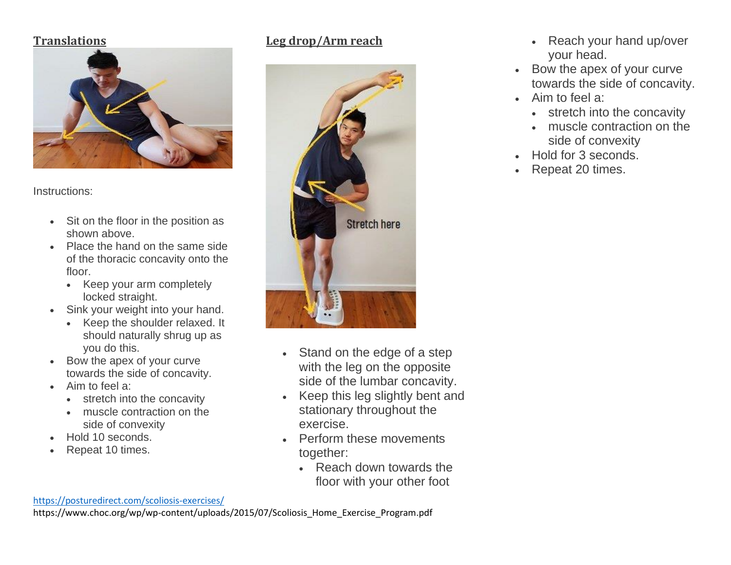### **Translations**



Instructions:

- Sit on the floor in the position as shown above.
- Place the hand on the same side of the thoracic concavity onto the floor.
	- Keep your arm completely locked straight.
- Sink your weight into your hand.
	- Keep the shoulder relaxed. It should naturally shrug up as you do this.
- Bow the apex of your curve towards the side of concavity.
- Aim to feel a:
	- stretch into the concavity
	- muscle contraction on the side of convexity
- Hold 10 seconds.
- Repeat 10 times.

# **Leg drop/Arm reach**



- Stand on the edge of a step with the leg on the opposite side of the lumbar concavity.
- Keep this leg slightly bent and stationary throughout the exercise.
- Perform these movements together:
	- Reach down towards the floor with your other foot

#### <https://posturedirect.com/scoliosis-exercises/>

https://www.choc.org/wp/wp-content/uploads/2015/07/Scoliosis\_Home\_Exercise\_Program.pdf

- Reach your hand up/over your head.
- Bow the apex of your curve towards the side of concavity.
- Aim to feel a:
	- stretch into the concavity
	- muscle contraction on the side of convexity
- Hold for 3 seconds.
- Repeat 20 times.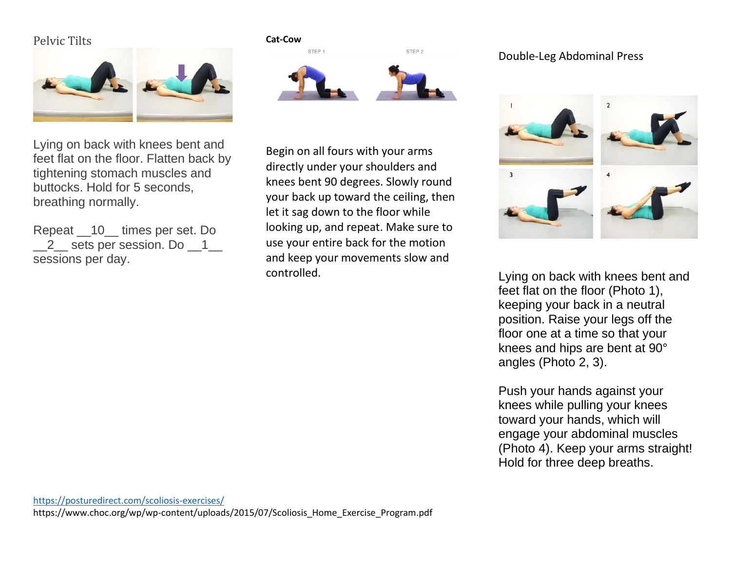## Pelvic Tilts



Lying on back with knees bent and feet flat on the floor. Flatten back by tightening stomach muscles and buttocks. Hold for 5 seconds, breathing normally.

Repeat \_\_10\_\_ times per set. Do \_\_2\_\_ sets per session. Do \_\_1\_\_ sessions per day.

#### **Cat-Cow**



Begin on all fours with your arms directly under your shoulders and knees bent 90 degrees. Slowly round your back up toward the ceiling, then let it sag down to the floor while looking up, and repeat. Make sure to use your entire back for the motion and keep your movements slow and controlled.

### Double-Leg Abdominal Press



Lying on back with knees bent and feet flat on the floor (Photo 1), keeping your back in a neutral position. Raise your legs off the floor one at a time so that your knees and hips are bent at 90° angles (Photo 2, 3).

Push your hands against your knees while pulling your knees toward your hands, which will engage your abdominal muscles (Photo 4). Keep your arms straight! Hold for three deep breaths.